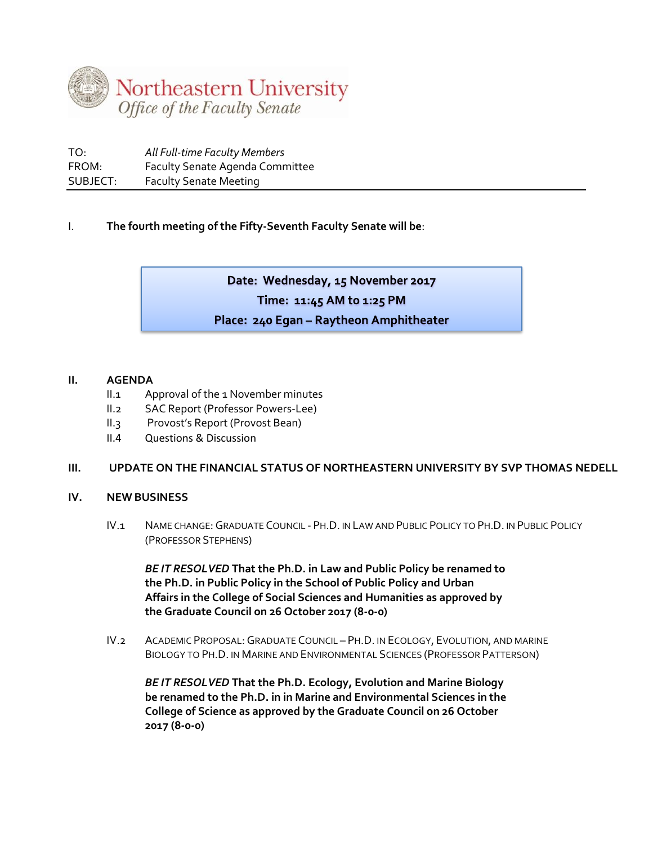

| TO:      | All Full-time Faculty Members          |
|----------|----------------------------------------|
| FROM:    | <b>Faculty Senate Agenda Committee</b> |
| SUBJECT: | <b>Faculty Senate Meeting</b>          |

## I. **The fourth meeting of the Fifty-Seventh Faculty Senate will be**:

Date: Wednesday, 15 November 2017 Time: 11:45 AM to 1:25 PM Place: 240 Egan - Raytheon Amphitheater

## **II. AGENDA**

- II.1 Approval of the 1 November minutes
- II.2 SAC Report (Professor Powers-Lee)
- II.3 Provost's Report (Provost Bean)
- II.4 Questions & Discussion

## **III. UPDATE ON THE FINANCIAL STATUS OF NORTHEASTERN UNIVERSITY BY SVP THOMAS NEDELL**

## **IV. NEW BUSINESS**

IV.1 NAME CHANGE:GRADUATE COUNCIL - PH.D. IN LAW AND PUBLIC POLICY TO PH.D. IN PUBLIC POLICY (PROFESSOR STEPHENS)

*BE IT RESOLVED* **That the Ph.D. in Law and Public Policy be renamed to the Ph.D. in Public Policy in the School of Public Policy and Urban Affairs in the College of Social Sciences and Humanities as approved by the Graduate Council on 26 October 2017 (8-0-0)**

IV.2 ACADEMIC PROPOSAL:GRADUATE COUNCIL – PH.D. IN ECOLOGY, EVOLUTION, AND MARINE BIOLOGY TO PH.D. IN MARINE AND ENVIRONMENTAL SCIENCES (PROFESSOR PATTERSON)

*BE IT RESOLVED* **That the Ph.D. Ecology, Evolution and Marine Biology be renamed to the Ph.D. in in Marine and Environmental Sciences in the College of Science as approved by the Graduate Council on 26 October 2017 (8-0-0)**